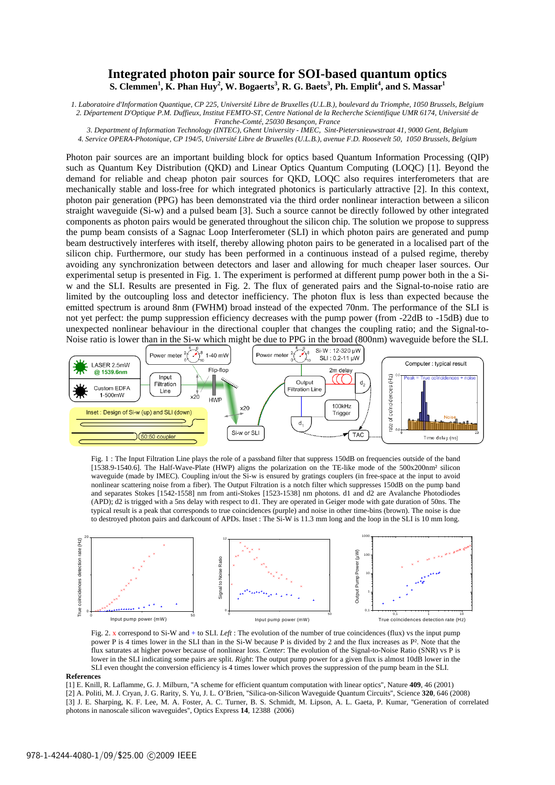## **Integrated photon pair source for SOI-based quantum optics S. Clemmen<sup>1</sup>, <b>K. Phan Huy<sup>2</sup>**, **W. Bogaerts<sup>3</sup>, R. G. Baets<sup>3</sup>, Ph. Emplit<sup>4</sup>, and S. Massar<sup>1</sup>**

*1. Laboratoire d'Information Quantique, CP 225, Université Libre de Bruxelles (U.L.B.), boulevard du Triomphe, 1050 Brussels, Belgium 2. Département D'Optique P.M. Duffieux, Institut FEMTO-ST, Centre National de la Recherche Scientifique UMR 6174, Université de Franche-Comté, 25030 Besançon, France* 

*3. Department of Information Technology (INTEC), Ghent University - IMEC, Sint-Pietersnieuwstraat 41, 9000 Gent, Belgium* 

*4. Service OPERA-Photonique, CP 194/5, Université Libre de Bruxelles (U.L.B.), avenue F.D. Roosevelt 50, 1050 Brussels, Belgium* 

Photon pair sources are an important building block for optics based Quantum Information Processing (QIP) such as Quantum Key Distribution (QKD) and Linear Optics Quantum Computing (LOQC) [1]. Beyond the demand for reliable and cheap photon pair sources for QKD, LOQC also requires interferometers that are mechanically stable and loss-free for which integrated photonics is particularly attractive [2]. In this context, photon pair generation (PPG) has been demonstrated via the third order nonlinear interaction between a silicon straight waveguide (Si-w) and a pulsed beam [3]. Such a source cannot be directly followed by other integrated components as photon pairs would be generated throughout the silicon chip. The solution we propose to suppress the pump beam consists of a Sagnac Loop Interferometer (SLI) in which photon pairs are generated and pump beam destructively interferes with itself, thereby allowing photon pairs to be generated in a localised part of the silicon chip. Furthermore, our study has been performed in a continuous instead of a pulsed regime, thereby avoiding any synchronization between detectors and laser and allowing for much cheaper laser sources. Our experimental setup is presented in Fig. 1. The experiment is performed at different pump power both in the a Siw and the SLI. Results are presented in Fig. 2. The flux of generated pairs and the Signal-to-noise ratio are limited by the outcoupling loss and detector inefficiency. The photon flux is less than expected because the emitted spectrum is around 8nm (FWHM) broad instead of the expected 70nm. The performance of the SLI is not yet perfect: the pump suppression efficiency decreases with the pump power (from -22dB to -15dB) due to unexpected nonlinear behaviour in the directional coupler that changes the coupling ratio; and the Signal-to-Noise ratio is lower than in the Si-w which might be due to PPG in the broad (800nm) waveguide before the SLI.



Fig. 1 : The Input Filtration Line plays the role of a passband filter that suppress 150dB on frequencies outside of the band [1538.9-1540.6]. The Half-Wave-Plate (HWP) aligns the polarization on the TE-like mode of the 500x200nm² silicon waveguide (made by IMEC). Coupling in/out the Si-w is ensured by gratings couplers (in free-space at the input to avoid nonlinear scattering noise from a fiber). The Output Filtration is a notch filter which suppresses 150dB on the pump band and separates Stokes [1542-1558] nm from anti-Stokes [1523-1538] nm photons. d1 and d2 are Avalanche Photodiodes (APD); d2 is trigged with a 5ns delay with respect to d1. They are operated in Geiger mode with gate duration of 50ns. The typical result is a peak that corresponds to true coincidences (purple) and noise in other time-bins (brown). The noise is due to destroyed photon pairs and darkcount of APDs. Inset : The Si-W is 11.3 mm long and the loop in the SLI is 10 mm long.



Fig. 2. x correspond to Si-W and + to SLI. *Left* : The evolution of the number of true coincidences (flux) vs the input pump power P is 4 times lower in the SLI than in the Si-W because P is divided by 2 and the flux increases as P². Note that the flux saturates at higher power because of nonlinear loss. *Center*: The evolution of the Signal-to-Noise Ratio (SNR) vs P is lower in the SLI indicating some pairs are split. *Right*: The output pump power for a given flux is almost 10dB lower in the SLI even thought the conversion efficiency is 4 times lower which proves the suppression of the pump beam in the SLI.

### **References**

[1] E. Knill, R. Laflamme, G. J. Milburn, ''A scheme for efficient quantum computation with linear optics'', Nature **409**, 46 (2001) [2] A. Politi, M. J. Cryan, J. G. Rarity, S. Yu, J. L. O'Brien, ''Silica-on-Silicon Waveguide Quantum Circuits'', Science **320**, 646 (2008) [3] J. E. Sharping, K. F. Lee, M. A. Foster, A. C. Turner, B. S. Schmidt, M. Lipson, A. L. Gaeta, P. Kumar, ''Generation of correlated photons in nanoscale silicon waveguides'', Optics Express **14**, 12388 (2006)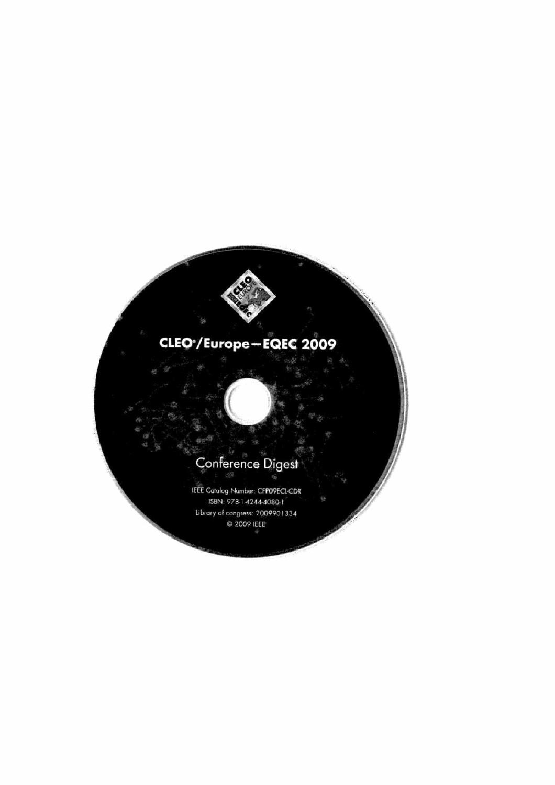# CLEO<sup>\*</sup>/Europe-EQEC 2009

# Conference Digest

IEEE Catalog Number: CFPO9ECL-CDR ISBN: 978-1-4244-4080-1 Library of congress: 2009901334 C 2009 IEEE